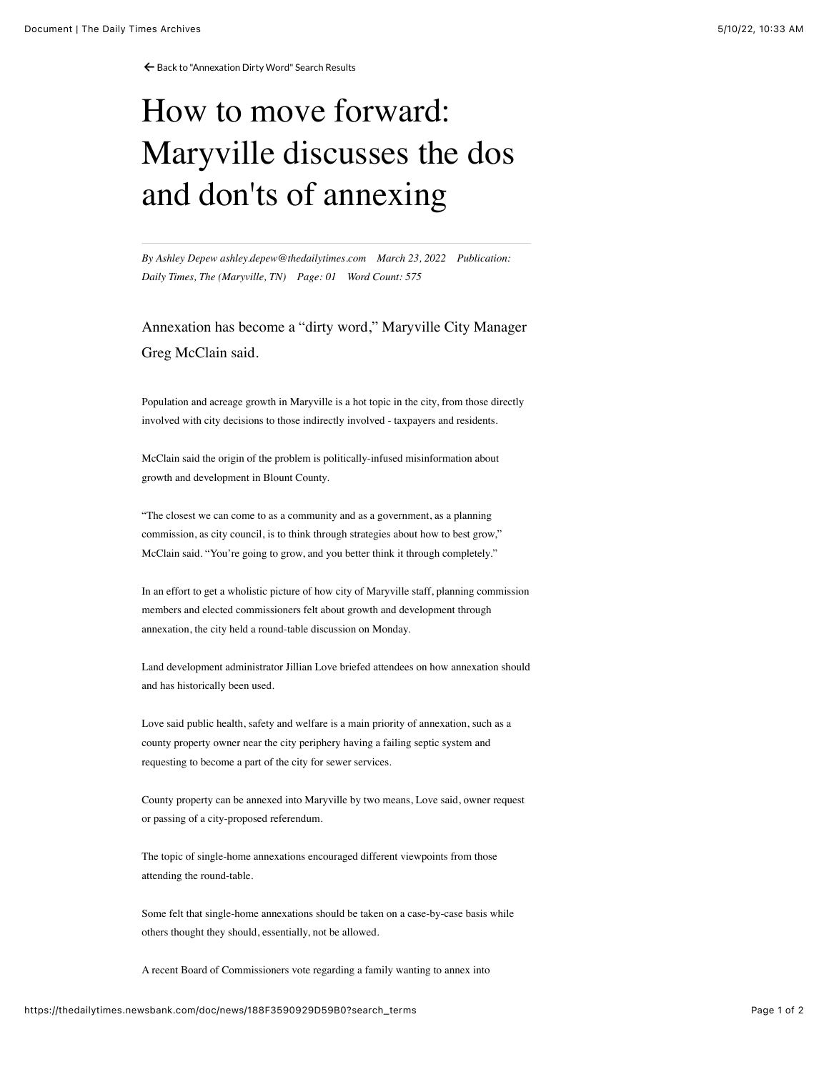← [Back to "Annexation Dirty Word" Search Results](https://thedailytimes.newsbank.com/search?text=annexation%20dirty%20word&pub%5B0%5D=MDTB)

## How to move forward: Maryville discusses the dos and don'ts of annexing

*By Ashley Depew ashley.depew@thedailytimes.com March 23, 2022 Publication: Daily Times, The (Maryville, TN) Page: 01 Word Count: 575*

Annexation has become a "dirty word," Maryville City Manager Greg McClain said.

Population and acreage growth in Maryville is a hot topic in the city, from those directly involved with city decisions to those indirectly involved - taxpayers and residents.

McClain said the origin of the problem is politically-infused misinformation about growth and development in Blount County.

"The closest we can come to as a community and as a government, as a planning commission, as city council, is to think through strategies about how to best grow," McClain said. "You're going to grow, and you better think it through completely."

In an effort to get a wholistic picture of how city of Maryville staff, planning commission members and elected commissioners felt about growth and development through annexation, the city held a round-table discussion on Monday.

Land development administrator Jillian Love briefed attendees on how annexation should and has historically been used.

Love said public health, safety and welfare is a main priority of annexation, such as a county property owner near the city periphery having a failing septic system and requesting to become a part of the city for sewer services.

County property can be annexed into Maryville by two means, Love said, owner request or passing of a city-proposed referendum.

The topic of single-home annexations encouraged different viewpoints from those attending the round-table.

Some felt that single-home annexations should be taken on a case-by-case basis while others thought they should, essentially, not be allowed.

A recent Board of Commissioners vote regarding a family wanting to annex into